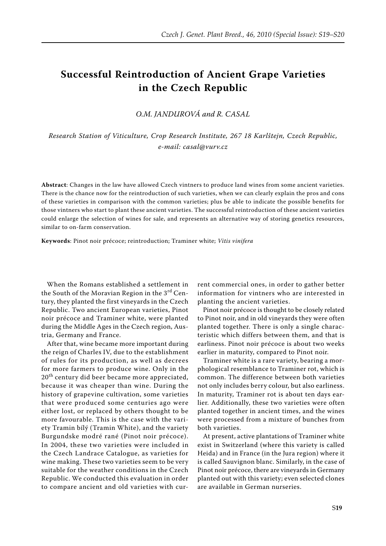## **Successful Reintroduction of Ancient Grape Varieties in the Czech Republic**

*O.M. Jandurová and R. Casal*

*Research Station of Viticulture, Crop Research Institute, 267 18 Karlštejn, Czech Republic, e-mail: casal@vurv.cz*

**Abstract**: Changes in the law have allowed Czech vintners to produce land wines from some ancient varieties. There is the chance now for the reintroduction of such varieties, when we can clearly explain the pros and cons of these varieties in comparison with the common varieties; plus be able to indicate the possible benefits for those vintners who start to plant these ancient varieties. The successful reintroduction of these ancient varieties could enlarge the selection of wines for sale, and represents an alternative way of storing genetics resources, similar to on-farm conservation.

**Keywords**: Pinot noir précoce; reintroduction; Traminer white; *Vitis vinifera*

When the Romans established a settlement in the South of the Moravian Region in the  $3<sup>rd</sup>$  Century, they planted the first vineyards in the Czech Republic. Two ancient European varieties, Pinot noir précoce and Traminer white, were planted during the Middle Ages in the Czech region, Austria, Germany and France.

After that, wine became more important during the reign of Charles IV, due to the establishment of rules for its production, as well as decrees for more farmers to produce wine. Only in the 20<sup>th</sup> century did beer became more appreciated, because it was cheaper than wine. During the history of grapevine cultivation, some varieties that were produced some centuries ago were either lost, or replaced by others thought to be more favourable. This is the case with the variety Tramin bílý (Tramin White), and the variety Burgundske modré rané (Pinot noir précoce). In 2004, these two varieties were included in the Czech Landrace Catalogue, as varieties for wine making. These two varieties seem to be very suitable for the weather conditions in the Czech Republic. We conducted this evaluation in order to compare ancient and old varieties with cur-

rent commercial ones, in order to gather better information for vintners who are interested in planting the ancient varieties.

Pinot noir précoce is thought to be closely related to Pinot noir, and in old vineyards they were often planted together. There is only a single characteristic which differs between them, and that is earliness. Pinot noir précoce is about two weeks earlier in maturity, compared to Pinot noir.

Traminer white is a rare variety, bearing a morphological resemblance to Traminer rot, which is common. The difference between both varieties not only includes berry colour, but also earliness. In maturity, Traminer rot is about ten days earlier. Additionally, these two varieties were often planted together in ancient times, and the wines were processed from a mixture of bunches from both varieties.

At present, active plantations of Traminer white exist in Switzerland (where this variety is called Heida) and in France (in the Jura region) where it is called Sauvignon blanc. Similarly, in the case of Pinot noir précoce, there are vineyards in Germany planted out with this variety; even selected clones are available in German nurseries.